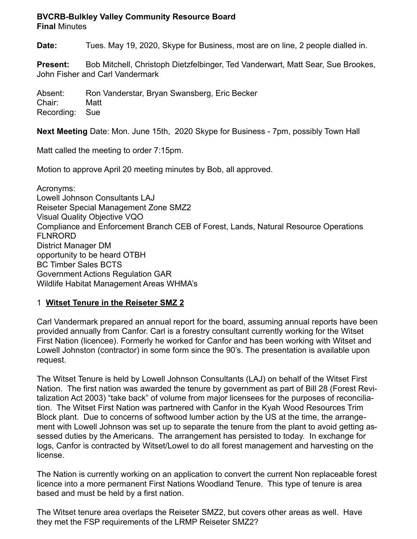# **BVCRB-Bulkley Valley Community Resource Board**

**Final** Minutes

**Date:** Tues. May 19, 2020, Skype for Business, most are on line, 2 people dialled in.

**Present:** Bob Mitchell, Christoph Dietzfelbinger, Ted Vanderwart, Matt Sear, Sue Brookes, John Fisher and Carl Vandermark

Absent: Ron Vanderstar, Bryan Swansberg, Eric Becker Chair: Matt Recording: Sue

**Next Meeting** Date: Mon. June 15th, 2020 Skype for Business - 7pm, possibly Town Hall

Matt called the meeting to order 7:15pm.

Motion to approve April 20 meeting minutes by Bob, all approved.

Acronyms: Lowell Johnson Consultants LAJ Reiseter Special Management Zone SMZ2 Visual Quality Objective VQO Compliance and Enforcement Branch CEB of Forest, Lands, Natural Resource Operations FLNRORD District Manager DM opportunity to be heard OTBH BC Timber Sales BCTS Government Actions Regulation GAR Wildlife Habitat Management Areas WHMA's

# 1 **Witset Tenure in the Reiseter SMZ 2**

Carl Vandermark prepared an annual report for the board, assuming annual reports have been provided annually from Canfor. Carl is a forestry consultant currently working for the Witset First Nation (licencee). Formerly he worked for Canfor and has been working with Witset and Lowell Johnston (contractor) in some form since the 90's. The presentation is available upon request.

The Witset Tenure is held by Lowell Johnson Consultants (LAJ) on behalf of the Witset First Nation. The first nation was awarded the tenure by government as part of Bill 28 (Forest Revitalization Act 2003) "take back" of volume from major licensees for the purposes of reconciliation. The Witset First Nation was partnered with Canfor in the Kyah Wood Resources Trim Block plant. Due to concerns of softwood lumber action by the US at the time, the arrangement with Lowell Johnson was set up to separate the tenure from the plant to avoid getting assessed duties by the Americans. The arrangement has persisted to today. In exchange for logs, Canfor is contracted by Witset/Lowel to do all forest management and harvesting on the license.

The Nation is currently working on an application to convert the current Non replaceable forest licence into a more permanent First Nations Woodland Tenure. This type of tenure is area based and must be held by a first nation.

The Witset tenure area overlaps the Reiseter SMZ2, but covers other areas as well. Have they met the FSP requirements of the LRMP Reiseter SMZ2?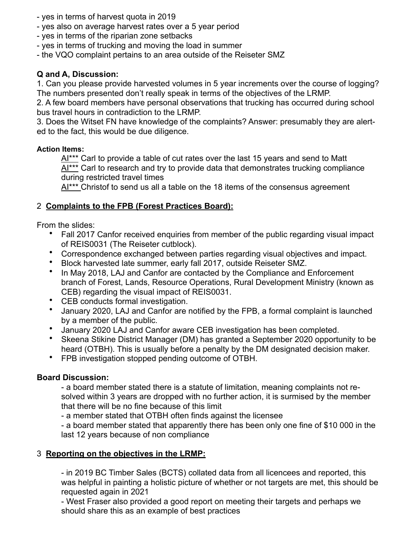- yes in terms of harvest quota in 2019
- yes also on average harvest rates over a 5 year period
- yes in terms of the riparian zone setbacks
- yes in terms of trucking and moving the load in summer
- the VQO complaint pertains to an area outside of the Reiseter SMZ

# **Q and A, Discussion:**

1. Can you please provide harvested volumes in 5 year increments over the course of logging? The numbers presented don't really speak in terms of the objectives of the LRMP.

2. A few board members have personal observations that trucking has occurred during school bus travel hours in contradiction to the LRMP.

3. Does the Witset FN have knowledge of the complaints? Answer: presumably they are alerted to the fact, this would be due diligence.

#### **Action Items:**

AI\*\*\* Carl to provide a table of cut rates over the last 15 years and send to Matt Al<sup>\*\*\*</sup> Carl to research and try to provide data that demonstrates trucking compliance during restricted travel times

Al<sup>\*\*\*</sup> Christof to send us all a table on the 18 items of the consensus agreement

# 2 **Complaints to the FPB (Forest Practices Board):**

From the slides:

- Fall 2017 Canfor received enquiries from member of the public regarding visual impact of REIS0031 (The Reiseter cutblock).
- Correspondence exchanged between parties regarding visual objectives and impact.
- Block harvested late summer, early fall 2017, outside Reiseter SMZ.
- In May 2018, LAJ and Canfor are contacted by the Compliance and Enforcement branch of Forest, Lands, Resource Operations, Rural Development Ministry (known as CEB) regarding the visual impact of REIS0031.
- CEB conducts formal investigation.
- January 2020, LAJ and Canfor are notified by the FPB, a formal complaint is launched by a member of the public.
- January 2020 LAJ and Canfor aware CEB investigation has been completed.
- Skeena Stikine District Manager (DM) has granted a September 2020 opportunity to be heard (OTBH). This is usually before a penalty by the DM designated decision maker.
- FPB investigation stopped pending outcome of OTBH.

#### **Board Discussion:**

- a board member stated there is a statute of limitation, meaning complaints not resolved within 3 years are dropped with no further action, it is surmised by the member that there will be no fine because of this limit

- a member stated that OTBH often finds against the licensee

- a board member stated that apparently there has been only one fine of \$10 000 in the last 12 years because of non compliance

#### 3 **Reporting on the objectives in the LRMP:**

- in 2019 BC Timber Sales (BCTS) collated data from all licencees and reported, this was helpful in painting a holistic picture of whether or not targets are met, this should be requested again in 2021

- West Fraser also provided a good report on meeting their targets and perhaps we should share this as an example of best practices